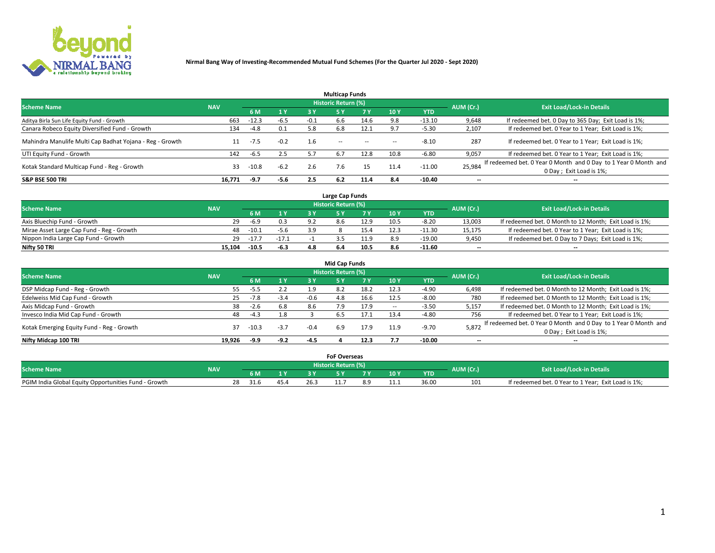

|                                                          |            |         |        |        | <b>Multicap Funds</b> |           |      |            |                          |                                                                                             |
|----------------------------------------------------------|------------|---------|--------|--------|-----------------------|-----------|------|------------|--------------------------|---------------------------------------------------------------------------------------------|
| <b>Scheme Name</b>                                       | <b>NAV</b> |         |        |        | Historic Return (%)   |           |      |            | AUM (Cr.)                | <b>Exit Load/Lock-in Details</b>                                                            |
|                                                          |            | 6 M     | 1 Y    | 3 Y    |                       | <b>7Y</b> | 10Y  | <b>YTD</b> |                          |                                                                                             |
| Aditya Birla Sun Life Equity Fund - Growth               | 663        | $-12.3$ | $-6.5$ | $-0.1$ | 6.6                   | 14.6      | 9.8  | $-13.10$   | 9,648                    | If redeemed bet. 0 Day to 365 Day; Exit Load is 1%;                                         |
| Canara Robeco Equity Diversified Fund - Growth           | 134        | $-4.8$  | 0.1    | 5.8    | 6.8                   | 12.1      | 9.7  | $-5.30$    | 2,107                    | If redeemed bet. 0 Year to 1 Year; Exit Load is 1%;                                         |
| Mahindra Manulife Multi Cap Badhat Yojana - Reg - Growth |            | $-7.5$  | $-0.2$ | 1.6    | $\sim$ $-$            | $-$       | --   | $-8.10$    | 287                      | If redeemed bet. 0 Year to 1 Year; Exit Load is 1%;                                         |
| UTI Equity Fund - Growth                                 | 142        | -6.5    | 2.5    |        | 6.7                   | 12.8      | 10.8 | $-6.80$    | 9,057                    | If redeemed bet. 0 Year to 1 Year; Exit Load is 1%;                                         |
| Kotak Standard Multicap Fund - Reg - Growth              | 33         | $-10.8$ | $-6.2$ | 2.6    | 7.6                   | 15        | 11.4 | $-11.00$   | 25,984                   | If redeemed bet. 0 Year 0 Month and 0 Day to 1 Year 0 Month and<br>0 Day ; Exit Load is 1%; |
| <b>S&amp;P BSE 500 TRI</b>                               | 16.771     | -9.7    | $-5.6$ | 2.5    | 6.2                   | 11.4      | 8.4  | -10.40     | $\overline{\phantom{a}}$ | $- -$                                                                                       |

|                                           |            |         |         |      | Large Cap Funds     |      |      |            |                          |                                                        |
|-------------------------------------------|------------|---------|---------|------|---------------------|------|------|------------|--------------------------|--------------------------------------------------------|
| <b>Scheme Name</b>                        | <b>NAV</b> |         |         |      | Historic Return (%) |      |      |            | AUM (Cr.)                | <b>Exit Load/Lock-in Details</b>                       |
|                                           |            |         | 1 Y     |      |                     |      | 10 Y | <b>YTD</b> |                          |                                                        |
| Axis Bluechip Fund - Growth               | 29         | $-6.9$  | 0.3     | . വാ |                     | 12.9 | 10.5 | $-8.20$    | 13,003                   | If redeemed bet. 0 Month to 12 Month; Exit Load is 1%; |
| Mirae Asset Large Cap Fund - Reg - Growth | 48         | $-10.1$ | $-5.6$  | 3 Q  |                     |      |      | $-11.30$   | 15,175                   | If redeemed bet. 0 Year to 1 Year; Exit Load is 1%;    |
| Nippon India Large Cap Fund - Growth      | 29         | $-17.7$ | $-17.1$ |      |                     |      |      | $-19.00$   | 9,450                    | If redeemed bet. 0 Day to 7 Days; Exit Load is 1%;     |
| Nifty 50 TRI                              | 15.104     | $-10.5$ | $-6.3$  |      |                     | 10.5 |      | $-11.60$   | $\overline{\phantom{a}}$ | $- -$                                                  |

|                                           |            |         |                |        | <b>Mid Cap Funds</b> |      |      |            |           |                                                                 |
|-------------------------------------------|------------|---------|----------------|--------|----------------------|------|------|------------|-----------|-----------------------------------------------------------------|
| <b>Scheme Name</b>                        | <b>NAV</b> |         |                |        | Historic Return (%)  |      |      |            | AUM (Cr.) | <b>Exit Load/Lock-in Details</b>                                |
|                                           |            | 6 M     | 1 <sup>Y</sup> | 3 Y    | 5۱                   |      | 10Y  | <b>YTD</b> |           |                                                                 |
| DSP Midcap Fund - Reg - Growth            | 55         | -5.5    | 2.2            | 1.9    | 8.2                  | 18.2 | 12.3 | $-4.90$    | 6,498     | If redeemed bet. 0 Month to 12 Month; Exit Load is 1%;          |
| Edelweiss Mid Cap Fund - Growth           | 25         | $-7.8$  | $-3.4$         | $-0.6$ | 4.8                  | 16.6 | 12.5 | $-8.00$    | 780       | If redeemed bet. 0 Month to 12 Month; Exit Load is 1%;          |
| Axis Midcap Fund - Growth                 | 38         | $-2.6$  | 6.8            | 8.6    | 7.9                  | 17.9 | --   | $-3.50$    | 5,157     | If redeemed bet. 0 Month to 12 Month; Exit Load is 1%;          |
| Invesco India Mid Cap Fund - Growth       | 48         | $-4.3$  | 1.8            |        | b.5                  |      | 13.4 | $-4.80$    | 756       | If redeemed bet. 0 Year to 1 Year; Exit Load is 1%;             |
| Kotak Emerging Equity Fund - Reg - Growth | 37         | $-10.3$ | $-3.7$         | $-0.4$ | 6.9                  | 17.9 | 11.9 | $-9.70$    | 5,872     | If redeemed bet. 0 Year 0 Month and 0 Day to 1 Year 0 Month and |
|                                           |            |         |                |        |                      |      |      |            |           | 0 Day; Exit Load is 1%;                                         |
| Nifty Midcap 100 TRI                      | 19.926     | -9.9    | $-9.2$         | -4.5   |                      | 12.3 |      | $-10.00$   | $- -$     | $- -$                                                           |

|                                                      |            |            |              |      | <b>FoF Overseas</b>   |     |      |            |                                  |                                                     |
|------------------------------------------------------|------------|------------|--------------|------|-----------------------|-----|------|------------|----------------------------------|-----------------------------------------------------|
| <b>Scheme Name</b>                                   | <b>NAV</b> |            |              |      | Historic Return (%) ' |     |      | AUM (Cr.)  | <b>Exit Load/Lock-in Details</b> |                                                     |
|                                                      |            |            | $\mathbf{v}$ |      |                       | . . | 10 Y | <b>YTD</b> |                                  |                                                     |
| PGIM India Global Equity Opportunities Fund - Growth |            | 28<br>31.6 | 45.4         | 26.3 |                       |     | 11.1 | 36.00      | 101                              | If redeemed bet. 0 Year to 1 Year; Exit Load is 1%; |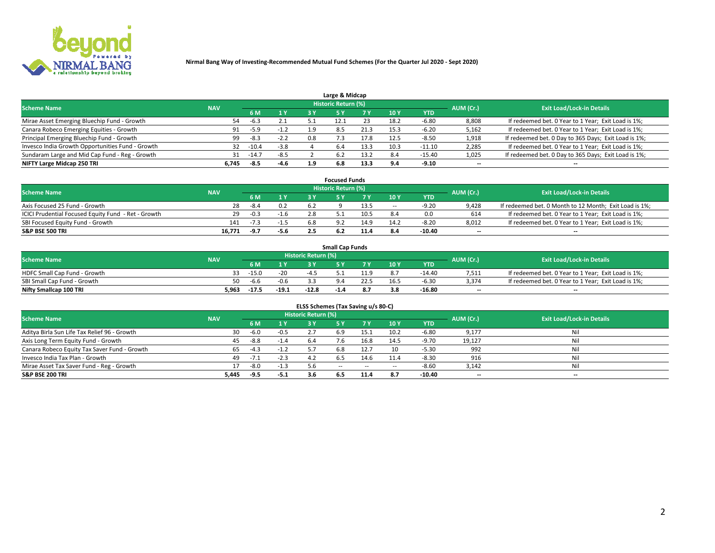

| Large & Midcap                                   |            |         |        |     |                            |      |      |          |                          |                                                      |  |  |  |  |
|--------------------------------------------------|------------|---------|--------|-----|----------------------------|------|------|----------|--------------------------|------------------------------------------------------|--|--|--|--|
| <b>Scheme Name</b>                               | <b>NAV</b> |         |        |     | <b>Historic Return (%)</b> |      |      |          | AUM (Cr.)                | <b>Exit Load/Lock-in Details</b>                     |  |  |  |  |
|                                                  |            | 6 M     | 1 Y    | 3 Y |                            | 7 V  | 10Y  | YTD      |                          |                                                      |  |  |  |  |
| Mirae Asset Emerging Bluechip Fund - Growth      | 54         | $-6.3$  | 2.1    |     |                            |      | 18.2 | $-6.80$  | 8,808                    | If redeemed bet. 0 Year to 1 Year; Exit Load is 1%;  |  |  |  |  |
| Canara Robeco Emerging Equities - Growth         | 91         | $-5.9$  | $-1.2$ | 1.9 | 8.5                        | 21.3 | 15.3 | -6.20    | 5,162                    | If redeemed bet. 0 Year to 1 Year; Exit Load is 1%;  |  |  |  |  |
| Principal Emerging Bluechip Fund - Growth        | 99         | $-8.3$  | $-2.2$ | 0.8 |                            | 17.8 | 12.5 | $-8.50$  | 1,918                    | If redeemed bet. 0 Day to 365 Days; Exit Load is 1%; |  |  |  |  |
| Invesco India Growth Opportunities Fund - Growth | 32         | $-10.4$ | $-3.8$ |     | 6.4                        |      | 10.3 | $-11.10$ | 2,285                    | If redeemed bet. 0 Year to 1 Year; Exit Load is 1%;  |  |  |  |  |
| Sundaram Large and Mid Cap Fund - Reg - Growth   | 31         | $-14.7$ | $-8.5$ |     | 6.2                        | 13.2 | 8.4  | $-15.40$ | 1,025                    | If redeemed bet. 0 Day to 365 Days; Exit Load is 1%; |  |  |  |  |
| NIFTY Large Midcap 250 TRI                       | 6.745      | -8.5    | $-4.6$ | 1.9 | 6.8                        | 13.3 | о л  | $-9.10$  | $\overline{\phantom{a}}$ | $- -$                                                |  |  |  |  |

|                                                     |            |        |                | <b>Focused Funds</b>       |      |        |            |                          |                                                        |
|-----------------------------------------------------|------------|--------|----------------|----------------------------|------|--------|------------|--------------------------|--------------------------------------------------------|
| <b>Scheme Name</b>                                  | <b>NAV</b> |        |                | <b>Historic Return (%)</b> |      |        |            | AUM (Cr.)                | <b>Exit Load/Lock-in Details</b>                       |
|                                                     |            | 6 M    | 1 <sub>V</sub> |                            |      | 10 Y   | <b>YTD</b> |                          |                                                        |
| Axis Focused 25 Fund - Growth                       | 28         | $-8.4$ | 0.2            |                            | 13.5 | $\sim$ | -9.20      | 9,428                    | If redeemed bet. 0 Month to 12 Month; Exit Load is 1%; |
| ICICI Prudential Focused Equity Fund - Ret - Growth | 29         | $-0.3$ | $-1.6$         |                            | 10.5 |        | 0.0        | 614                      | If redeemed bet. 0 Year to 1 Year; Exit Load is 1%;    |
| SBI Focused Equity Fund - Growth                    | 141        | -7.3   |                |                            | 14.9 | 14.2   | $-8.20$    | 8,012                    | If redeemed bet. 0 Year to 1 Year; Exit Load is 1%;    |
| S&P BSE 500 TRI                                     | 16.771     | -9.7   | -5.6           |                            |      |        | -10.40     | $\overline{\phantom{a}}$ | $- -$                                                  |

|                              |            |         |         |                     | <b>Small Cap Funds</b> |      |      |            |           |                                                     |
|------------------------------|------------|---------|---------|---------------------|------------------------|------|------|------------|-----------|-----------------------------------------------------|
| <b>Scheme Name</b>           | <b>NAV</b> |         |         | Historic Return (%) |                        |      |      |            | AUM (Cr.) | <b>Exit Load/Lock-in Details</b>                    |
|                              |            | 6 M     |         |                     |                        |      | 10Y  | <b>YTD</b> |           |                                                     |
| HDFC Small Cap Fund - Growth |            | $-15.0$ | $-20$   |                     |                        | 11.9 |      | $-14.40$   | 7,511     | If redeemed bet. 0 Year to 1 Year; Exit Load is 1%; |
| SBI Small Cap Fund - Growth  | 50         | -6.6    | $-0.6$  |                     |                        |      | 16.5 | $-6.30$    | 3,374     | If redeemed bet. 0 Year to 1 Year; Exit Load is 1%; |
| Nifty Smallcap 100 TRI       | 5.963      | $-17.5$ | $-19.1$ | $-12.8$             | $-1.4$                 | 8.7  |      | $-16.80$   | $- -$     | $- -$                                               |

| ELSS Schemes (Tax Saving u/s 80-C)           |            |        |        |                            |            |           |                          |            |                          |                                  |  |  |  |
|----------------------------------------------|------------|--------|--------|----------------------------|------------|-----------|--------------------------|------------|--------------------------|----------------------------------|--|--|--|
| <b>Scheme Name</b>                           | <b>NAV</b> |        |        | <b>Historic Return (%)</b> |            |           |                          |            | AUM (Cr.)                | <b>Exit Load/Lock-in Details</b> |  |  |  |
|                                              |            | - 6 M  | 1 Y    | 3 Y                        | <b>5Y</b>  | <b>7Y</b> | 10Y                      | <b>YTD</b> |                          |                                  |  |  |  |
| Aditya Birla Sun Life Tax Relief 96 - Growth | 30         | $-6.0$ | $-0.5$ |                            |            | 15.1      | 10.2                     | $-6.80$    | 9,177                    | Nil                              |  |  |  |
| Axis Long Term Equity Fund - Growth          | 45         | $-8.8$ | $-1.4$ | 6.4                        |            | 16.8      | 14.5                     | $-9.70$    | 19,127                   | Nil                              |  |  |  |
| Canara Robeco Equity Tax Saver Fund - Growth | 65         | $-4.3$ | $-1.2$ |                            | 6.8        | 12.7      | 10                       | $-5.30$    | 992                      | Nil                              |  |  |  |
| Invesco India Tax Plan - Growth              | 49         | $-7.1$ | $-2.3$ | 4.2                        |            | 14.6      | 11.4                     | $-8.30$    | 916                      | Nil                              |  |  |  |
| Mirae Asset Tax Saver Fund - Reg - Growth    |            | $-8.0$ | $-1.3$ | 5.6                        | $\sim$ $-$ | $\sim$    | $\overline{\phantom{a}}$ | $-8.60$    | 3,142                    | Nil                              |  |  |  |
| S&P BSE 200 TRI                              | 5,445      | $-9.5$ | $-5.1$ | 3.6                        |            | 11.4      | 8.7                      | -10.40     | $\overline{\phantom{a}}$ | $- -$                            |  |  |  |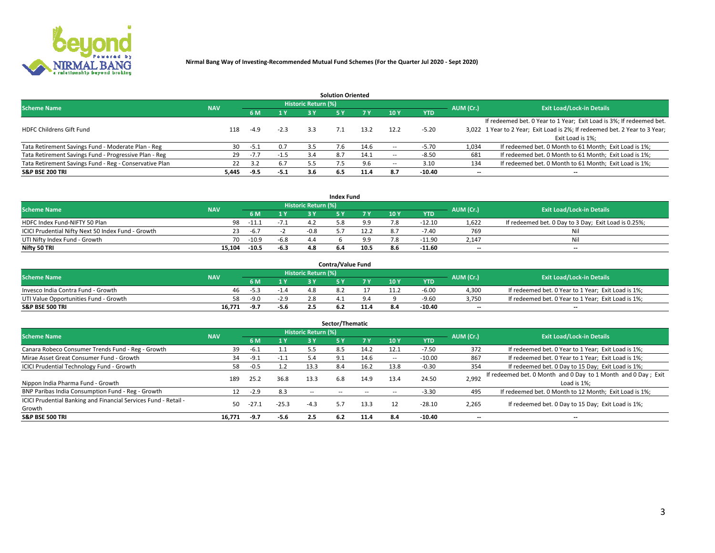

| <b>Solution Oriented</b>                               |            |            |        |                            |     |      |      |            |                          |                                                                             |  |  |  |  |
|--------------------------------------------------------|------------|------------|--------|----------------------------|-----|------|------|------------|--------------------------|-----------------------------------------------------------------------------|--|--|--|--|
| <b>Scheme Name</b>                                     | <b>NAV</b> |            |        | <b>Historic Return (%)</b> |     |      |      |            | AUM (Cr.)                | <b>Exit Load/Lock-in Details</b>                                            |  |  |  |  |
|                                                        |            | <b>6 M</b> | 1 Y    | 73 V                       |     |      | 10Y  | <b>YTD</b> |                          |                                                                             |  |  |  |  |
|                                                        |            |            |        |                            |     |      |      |            |                          | If redeemed bet. 0 Year to 1 Year; Exit Load is 3%; If redeemed bet.        |  |  |  |  |
| <b>HDFC Childrens Gift Fund</b>                        | 118        | $-4.9$     | $-2.3$ | 3.3                        |     | 13.2 | 12.2 | $-5.20$    |                          | 3,022 1 Year to 2 Year; Exit Load is 2%; If redeemed bet. 2 Year to 3 Year; |  |  |  |  |
|                                                        |            |            |        |                            |     |      |      |            |                          | Exit Load is 1%:                                                            |  |  |  |  |
| Tata Retirement Savings Fund - Moderate Plan - Reg     | 30         | -5.1       | 0.7    | 3.5                        | 7.6 | 14.6 |      | $-5.70$    | 1,034                    | If redeemed bet. 0 Month to 61 Month; Exit Load is 1%;                      |  |  |  |  |
| Tata Retirement Savings Fund - Progressive Plan - Reg  | 29         | $-7.7$     | $-1.5$ | 3.4                        | 8.7 | 14.1 | -    | $-8.50$    | 681                      | If redeemed bet. 0 Month to 61 Month; Exit Load is 1%;                      |  |  |  |  |
| Tata Retirement Savings Fund - Reg - Conservative Plan | 22         | 3.2        | 6.7    | 5.5                        |     | 9.6  | -    | 3.10       | 134                      | If redeemed bet. 0 Month to 61 Month; Exit Load is 1%;                      |  |  |  |  |
| S&P BSE 200 TRI                                        | 5,445      | $-9.5$     | $-5.1$ | 3.6                        | 6.5 | 11.4 | 8.7  | $-10.40$   | $\overline{\phantom{a}}$ | $- -$                                                                       |  |  |  |  |

|                                                    |            |         |              |                            | <b>Index Fund</b> |      |      |            |                          |                                                      |
|----------------------------------------------------|------------|---------|--------------|----------------------------|-------------------|------|------|------------|--------------------------|------------------------------------------------------|
| <b>Scheme Name</b>                                 | <b>NAV</b> |         |              | <b>Historic Return (%)</b> |                   |      |      |            | AUM (Cr.)                | <b>Exit Load/Lock-in Details</b>                     |
|                                                    |            |         | $\sqrt{1}$ V | 2 V                        |                   | 7 V  | 10 Y | <b>YTD</b> |                          |                                                      |
| HDFC Index Fund-NIFTY 50 Plan                      | 98         | $-11.1$ | $-7.1$       |                            |                   |      |      | $-12.10$   | 1,622                    | If redeemed bet. 0 Day to 3 Day; Exit Load is 0.25%; |
| ICICI Prudential Nifty Next 50 Index Fund - Growth |            | -6.7    |              | $-0.8$                     |                   |      |      | $-7.40$    | 769                      | Nil                                                  |
| UTI Nifty Index Fund - Growth                      | 70         | $-10.9$ | $-6.8$       |                            |                   |      |      | $-11.90$   | 2,147                    | Nil                                                  |
| Nifty 50 TRI                                       | 15.104     | $-10.5$ | -6.3         |                            |                   | 10.5 | 8.6  | $-11.60$   | $\overline{\phantom{a}}$ | $- -$                                                |

|                                       |            |        |                                   |                            | <b>Contra/Value Fund</b> |     |     |            |                          |                                                     |
|---------------------------------------|------------|--------|-----------------------------------|----------------------------|--------------------------|-----|-----|------------|--------------------------|-----------------------------------------------------|
| <b>Scheme Name</b>                    | <b>NAV</b> |        |                                   | <b>Historic Return (%)</b> |                          |     |     |            | AUM (Cr.)                | <b>Exit Load/Lock-in Details</b>                    |
|                                       |            |        | $\boldsymbol{A}$ $\boldsymbol{V}$ |                            |                          | 7 V | 10Y | <b>YTD</b> |                          |                                                     |
| Invesco India Contra Fund - Growth    | 46.        | -5.3   |                                   |                            |                          |     |     | $-6.00$    | 4,300                    | If redeemed bet. 0 Year to 1 Year; Exit Load is 1%; |
| UTI Value Opportunities Fund - Growth | 58         | $-9.0$ | $-2.9$                            |                            |                          |     |     | -9.60      | 3,750                    | If redeemed bet. 0 Year to 1 Year; Exit Load is 1%; |
| <b>S&amp;P BSE 500 TRI</b>            | 16.771     | -9.7   | $-5.6$                            |                            |                          |     |     | $-10.40$   | $\overline{\phantom{a}}$ | $- -$                                               |

| Sector/Thematic                                                           |            |        |         |                            |            |           |      |            |                          |                                                                              |  |  |  |
|---------------------------------------------------------------------------|------------|--------|---------|----------------------------|------------|-----------|------|------------|--------------------------|------------------------------------------------------------------------------|--|--|--|
| <b>Scheme Name</b>                                                        | <b>NAV</b> |        |         | <b>Historic Return (%)</b> |            |           |      |            | AUM (Cr.)                | <b>Exit Load/Lock-in Details</b>                                             |  |  |  |
|                                                                           |            | 6 M    | 1 Y     | 3 Y                        | 5 Y        | <b>7Y</b> | 10Y  | <b>YTD</b> |                          |                                                                              |  |  |  |
| Canara Robeco Consumer Trends Fund - Reg - Growth                         | 39         | $-6.1$ |         | 5.5                        | 8.5        | 14.2      | 12.1 | $-7.50$    | 372                      | If redeemed bet. 0 Year to 1 Year; Exit Load is 1%;                          |  |  |  |
| Mirae Asset Great Consumer Fund - Growth                                  | 34         | -9.1   | $-1.1$  | 5.4                        | 9.1        | 14.6      | -    | $-10.00$   | 867                      | If redeemed bet. 0 Year to 1 Year; Exit Load is 1%;                          |  |  |  |
| <b>ICICI Prudential Technology Fund - Growth</b>                          | 58         | $-0.5$ | 1.2     | 13.3                       | 8.4        | 16.2      | 13.8 | $-0.30$    | 354                      | If redeemed bet. 0 Day to 15 Day; Exit Load is 1%;                           |  |  |  |
| Nippon India Pharma Fund - Growth                                         | 189        | 25.2   | 36.8    | 13.3                       | 6.8        | 14.9      | 13.4 | 24.50      | 2,992                    | If redeemed bet. 0 Month and 0 Day to 1 Month and 0 Day; Exit<br>Load is 1%: |  |  |  |
| BNP Paribas India Consumption Fund - Reg - Growth                         |            | $-2.9$ | 8.3     | $\sim$ $-$                 | $\sim$ $-$ |           |      | $-3.30$    | 495                      | If redeemed bet. 0 Month to 12 Month; Exit Load is 1%;                       |  |  |  |
| ICICI Prudential Banking and Financial Services Fund - Retail -<br>Growth | 50         | -27.1  | $-25.3$ | $-4.3$                     | 5.7        | 13.3      |      | $-28.10$   | 2,265                    | If redeemed bet. 0 Day to 15 Day; Exit Load is 1%;                           |  |  |  |
| <b>S&amp;P BSE 500 TRI</b>                                                | 16.771     | -9.7   | $-5.6$  | 2.5                        | 6.2        | 11.4      | 8.4  | $-10.40$   | $\overline{\phantom{a}}$ | $- -$                                                                        |  |  |  |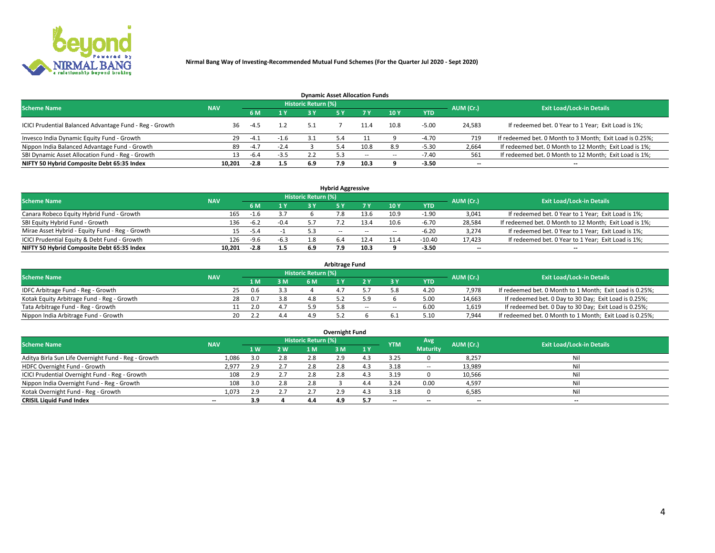

| <b>Dynamic Asset Allocation Funds</b>                   |            |        |        |                            |     |        |                          |            |                          |                                                          |  |  |  |  |
|---------------------------------------------------------|------------|--------|--------|----------------------------|-----|--------|--------------------------|------------|--------------------------|----------------------------------------------------------|--|--|--|--|
| <b>Scheme Name</b>                                      | <b>NAV</b> |        |        | <b>Historic Return (%)</b> |     |        |                          |            | AUM (Cr.)                | <b>Exit Load/Lock-in Details</b>                         |  |  |  |  |
|                                                         |            | 6 M    | 1 Y    |                            |     |        | <b>10Y</b>               | <b>YTD</b> |                          |                                                          |  |  |  |  |
| ICICI Prudential Balanced Advantage Fund - Reg - Growth | 36         | $-4.5$ |        | 5.1                        |     | 11.4   | 10.8                     | $-5.00$    | 24,583                   | If redeemed bet. 0 Year to 1 Year; Exit Load is 1%;      |  |  |  |  |
| Invesco India Dynamic Equity Fund - Growth              | 29         | -4.1   | $-1.6$ | 31                         | 5.4 |        |                          | $-4.70$    | 719                      | If redeemed bet. 0 Month to 3 Month; Exit Load is 0.25%; |  |  |  |  |
| Nippon India Balanced Advantage Fund - Growth           | 89         | $-4.7$ | $-2.4$ |                            | 5.4 | 10.8   | 8.9                      | $-5.30$    | 2,664                    | If redeemed bet. 0 Month to 12 Month; Exit Load is 1%;   |  |  |  |  |
| SBI Dynamic Asset Allocation Fund - Reg - Growth        |            | -6.4   | $-3.5$ |                            |     | $\sim$ | $\overline{\phantom{a}}$ | $-7.40$    | 561                      | If redeemed bet. 0 Month to 12 Month; Exit Load is 1%;   |  |  |  |  |
| NIFTY 50 Hybrid Composite Debt 65:35 Index              | 10,201     | $-2.8$ | 1.5    | 6.9                        | 7.9 | 10.3   |                          | $-3.50$    | $\overline{\phantom{a}}$ |                                                          |  |  |  |  |

|                                                 |            |                                  |        |     | <b>Hybrid Aggressive</b> |        |      |            |                          |                                                        |
|-------------------------------------------------|------------|----------------------------------|--------|-----|--------------------------|--------|------|------------|--------------------------|--------------------------------------------------------|
| <b>Scheme Name</b>                              | AUM (Cr.)  | <b>Exit Load/Lock-in Details</b> |        |     |                          |        |      |            |                          |                                                        |
|                                                 | <b>NAV</b> | 6 M                              | 1 Y    |     |                          |        | 10Y  | <b>YTD</b> |                          |                                                        |
| Canara Robeco Equity Hybrid Fund - Growth       | 165        | $-1.6$                           |        |     |                          |        | 10.9 | -1.90      | 3,041                    | If redeemed bet. 0 Year to 1 Year; Exit Load is 1%;    |
| SBI Equity Hybrid Fund - Growth                 | 136        | $-6.2$                           | $-0.4$ |     |                          | 13.4   | 10.6 | $-6.70$    | 28,584                   | If redeemed bet. 0 Month to 12 Month; Exit Load is 1%; |
| Mirae Asset Hybrid - Equity Fund - Reg - Growth | 15         | -5.4                             |        |     | $\sim$ $\sim$            | $\sim$ | --   | -6.20      | 3,274                    | If redeemed bet. 0 Year to 1 Year; Exit Load is 1%;    |
| ICICI Prudential Equity & Debt Fund - Growth    | 126        | $-9.6$                           | $-6.3$ |     | 6.4                      | 12.4   |      | $-10.40$   | 17,423                   | If redeemed bet. 0 Year to 1 Year; Exit Load is 1%;    |
| NIFTY 50 Hybrid Composite Debt 65:35 Index      | 10.201     | $-2.8$                           | 1.5    | 6.9 |                          | 10.3   |      | $-3.50$    | $\overline{\phantom{a}}$ | $- -$                                                  |

| <b>Arbitrage Fund</b>                      |            |    |     |     |                     |  |       |        |            |           |                                                          |  |  |  |
|--------------------------------------------|------------|----|-----|-----|---------------------|--|-------|--------|------------|-----------|----------------------------------------------------------|--|--|--|
| <b>Scheme Name</b>                         | <b>NAV</b> |    |     |     | Historic Return (%) |  |       |        |            | AUM (Cr.) | <b>Exit Load/Lock-in Details</b>                         |  |  |  |
|                                            |            |    | 1 M | 3 M |                     |  |       |        | <b>YTD</b> |           |                                                          |  |  |  |
| IDFC Arbitrage Fund - Reg - Growth         |            | 25 | 0.6 | 3.3 |                     |  |       |        | 4.20       | 7,978     | If redeemed bet. 0 Month to 1 Month; Exit Load is 0.25%; |  |  |  |
| Kotak Equity Arbitrage Fund - Reg - Growth |            | 28 |     | 3.8 | 4.8                 |  |       |        | 5.00       | 14,663    | If redeemed bet. 0 Day to 30 Day; Exit Load is 0.25%;    |  |  |  |
| Tata Arbitrage Fund - Reg - Growth         |            |    | 2.0 |     | 59                  |  | $- -$ | $\sim$ | 6.00       | 1,619     | If redeemed bet. 0 Day to 30 Day; Exit Load is 0.25%;    |  |  |  |
| Nippon India Arbitrage Fund - Growth       |            | 20 |     | 4.4 |                     |  |       |        | 5.10       | 7,944     | If redeemed bet. 0 Month to 1 Month; Exit Load is 0.25%; |  |  |  |

| Overnight Fund                                      |            |     |     |                            |     |     |                          |                 |           |                                  |  |  |  |  |
|-----------------------------------------------------|------------|-----|-----|----------------------------|-----|-----|--------------------------|-----------------|-----------|----------------------------------|--|--|--|--|
| <b>Scheme Name</b>                                  | <b>NAV</b> |     |     | <b>Historic Return (%)</b> |     |     | <b>YTM</b>               | Avg             | AUM (Cr.) | <b>Exit Load/Lock-in Details</b> |  |  |  |  |
|                                                     |            | 1 W | 2 W | 1 M                        | 3 M | 1 Y |                          | <b>Maturity</b> |           |                                  |  |  |  |  |
| Aditya Birla Sun Life Overnight Fund - Reg - Growth | 1,086      | 3.0 | 2.8 | 2.8                        | 2.9 |     | 3.25                     |                 | 8,257     | Nil                              |  |  |  |  |
| HDFC Overnight Fund - Growth                        | 2,977      | 2.9 | 2.7 | 2.8                        | 2.8 |     | 3.18                     | $\sim$ $-$      | 13,989    | Nil                              |  |  |  |  |
| ICICI Prudential Overnight Fund - Reg - Growth      | 108        | 2.9 | 2.7 | 2.8                        | 2.8 |     | 3.19                     |                 | 10,566    | Nil                              |  |  |  |  |
| Nippon India Overnight Fund - Reg - Growth          | 108        |     | 2.8 | 2.8                        |     |     | 3.24                     | 0.00            | 4,597     | Nil                              |  |  |  |  |
| Kotak Overnight Fund - Reg - Growth                 | 1,073      |     | 2.7 |                            | 2.9 |     | 3.18                     |                 | 6,585     | Nil                              |  |  |  |  |
| <b>CRISIL Liquid Fund Index</b>                     | $- -$      | 3.9 |     | 4.4                        | 4.9 | 5.7 | $\overline{\phantom{a}}$ | --              | $-$       | $- -$                            |  |  |  |  |

### **Overnight Fund**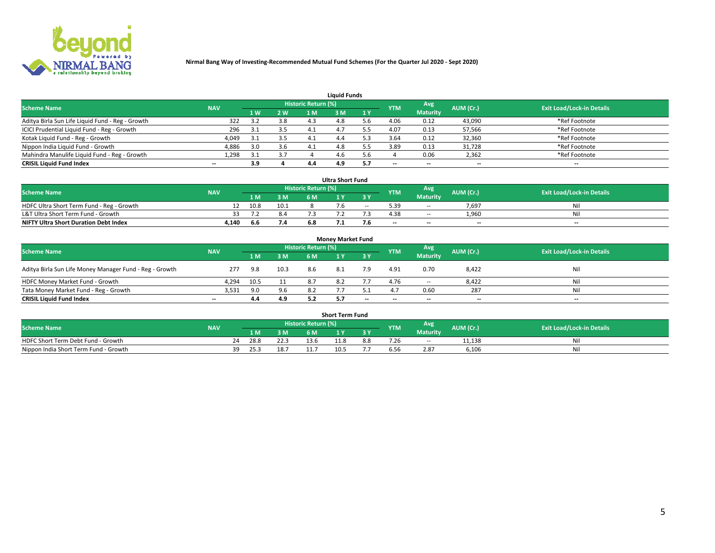

| <b>Liquid Funds</b>                              |            |     |     |                     |     |              |            |                 |           |                                  |  |  |  |  |
|--------------------------------------------------|------------|-----|-----|---------------------|-----|--------------|------------|-----------------|-----------|----------------------------------|--|--|--|--|
| <b>Scheme Name</b>                               | <b>NAV</b> |     |     | Historic Return (%) |     |              | <b>YTM</b> | Avg             | AUM (Cr.) | <b>Exit Load/Lock-in Details</b> |  |  |  |  |
|                                                  |            | 4W  | 2 W | 1 M                 | M   | $\sqrt{1}$ Y |            | <b>Maturity</b> |           |                                  |  |  |  |  |
| Aditya Birla Sun Life Liquid Fund - Reg - Growth | 322        |     | 3.8 | 4.3                 |     |              | 4.06       | 0.12            | 43,090    | *Ref Footnote                    |  |  |  |  |
| ICICI Prudential Liquid Fund - Reg - Growth      | 296        | 3.1 | 3.5 | 4.1                 | 4.  |              | 4.07       | 0.13            | 57,566    | *Ref Footnote                    |  |  |  |  |
| Kotak Liquid Fund - Reg - Growth                 | 4,049      |     | 3.5 |                     | 4.4 |              | 3.64       | 0.12            | 32,360    | *Ref Footnote                    |  |  |  |  |
| Nippon India Liquid Fund - Growth                | 4,886      | 3.0 | 3.6 | 4.1                 | 4.8 |              | 3.89       | 0.13            | 31,728    | *Ref Footnote                    |  |  |  |  |
| Mahindra Manulife Liquid Fund - Reg - Growth     | 1,298      | 3.1 | 3.7 |                     | 4.6 | i h          |            | 0.06            | 2,362     | *Ref Footnote                    |  |  |  |  |
| <b>CRISIL Liquid Fund Index</b>                  | $- -$      | 3.9 |     | 4.4                 | 4.9 |              | --         | $- -$           | --        | $\overline{\phantom{a}}$         |  |  |  |  |

| <b>Ultra Short Fund</b>                      |            |      |      |                            |  |        |                          |                 |           |                                  |  |  |  |  |
|----------------------------------------------|------------|------|------|----------------------------|--|--------|--------------------------|-----------------|-----------|----------------------------------|--|--|--|--|
| <b>Scheme Name</b>                           | <b>NAV</b> |      |      | <b>Historic Return (%)</b> |  |        | <b>YTM</b>               | <b>Avg</b>      | AUM (Cr.) | <b>Exit Load/Lock-in Details</b> |  |  |  |  |
|                                              |            | 1 M. | 3 M  | 6 M                        |  | 3 Y    |                          | <b>Maturity</b> |           |                                  |  |  |  |  |
| HDFC Ultra Short Term Fund - Reg - Growth    |            | 10.8 | 10.1 |                            |  | $\sim$ | 5.39                     | $\sim$ $-$      | 7,697     | Nil                              |  |  |  |  |
| L&T Ultra Short Term Fund - Growth           |            |      | 8.4  |                            |  |        | 4.38                     | $\sim$ $-$      | 1.960     | Nil                              |  |  |  |  |
| <b>NIFTY Ultra Short Duration Debt Index</b> | 4,140      | 6.6  | 7.4  |                            |  |        | $\overline{\phantom{a}}$ | $- -$           | $- -$     | $- -$                            |  |  |  |  |

| <b>Monev Market Fund</b>                                |            |      |      |                     |     |       |                          |                 |                          |                                  |  |  |  |  |
|---------------------------------------------------------|------------|------|------|---------------------|-----|-------|--------------------------|-----------------|--------------------------|----------------------------------|--|--|--|--|
| <b>Scheme Name</b>                                      | <b>NAV</b> |      |      | Historic Return (%) |     |       | <b>YTM</b>               | Avg.            | AUM (Cr.)                | <b>Exit Load/Lock-in Details</b> |  |  |  |  |
|                                                         |            | 1 M  | 3 M  | 6 M                 |     | 3 Y   |                          | <b>Maturity</b> |                          |                                  |  |  |  |  |
| Aditya Birla Sun Life Money Manager Fund - Reg - Growth | 277        | 9.8  | 10.3 | -8.6                | 8.1 | 7.9   | 4.91                     | 0.70            | 8,422                    | Nil                              |  |  |  |  |
| HDFC Money Market Fund - Growth                         | 4,294      | 10.5 |      | 8.7                 | 8.2 |       | 4.76                     | $\sim$ $\sim$   | 8,422                    | Nil                              |  |  |  |  |
| Tata Money Market Fund - Reg - Growth                   | 3,531      | 9.0  | 9.6  | 8.2                 |     |       |                          | 0.60            | 287                      | Nil                              |  |  |  |  |
| <b>CRISIL Liquid Fund Index</b>                         | $- -$      | 4.4  | 4.9  | 5.2                 |     | $- -$ | $\overline{\phantom{a}}$ | $-$             | $\overline{\phantom{a}}$ | $- -$                            |  |  |  |  |

|                                       |            |       |      |                     | <b>Short Term Fund</b> |     |      |                 |           |                                  |
|---------------------------------------|------------|-------|------|---------------------|------------------------|-----|------|-----------------|-----------|----------------------------------|
| <b>Scheme Name</b>                    | <b>NAV</b> |       |      | Historic Return (%) |                        |     | YTM  | Avg             | AUM (Cr.) | <b>Exit Load/Lock-in Details</b> |
|                                       |            | 1 M . | 3 M  | 6 M                 |                        | 2V  |      | <b>Maturity</b> |           |                                  |
| HDFC Short Term Debt Fund - Growth    |            | 28.8  | 22.3 | 13.6                | 11.8                   | 8.8 | 7.26 | $\sim$ $-$      | 11,138    | M                                |
| Nippon India Short Term Fund - Growth | 39         | 25.3  | 18.7 |                     | 10.5                   |     |      | 2.87            | 6,106     | N                                |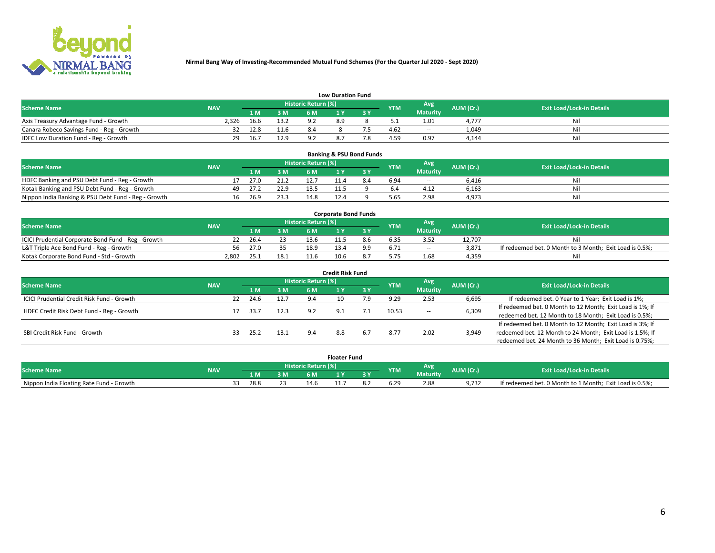

| <b>Low Duration Fund</b>                  |            |      |      |                     |     |     |            |                 |           |                                  |  |  |  |  |
|-------------------------------------------|------------|------|------|---------------------|-----|-----|------------|-----------------|-----------|----------------------------------|--|--|--|--|
| <b>Scheme Name</b>                        | <b>NAV</b> |      |      | Historic Return (%) |     |     | <b>YTM</b> | Avg             | AUM (Cr.) | <b>Exit Load/Lock-in Details</b> |  |  |  |  |
|                                           |            | L M. | 3 M  | 6 M                 |     | 3 Y |            | <b>Maturity</b> |           |                                  |  |  |  |  |
| Axis Treasury Advantage Fund - Growth     | 2.326      | 16.6 | 13.2 | ຊາ                  | 8.9 |     |            | 1.01            | 4.777     | Nil                              |  |  |  |  |
| Canara Robeco Savings Fund - Reg - Growth |            | 12.8 | 11.6 |                     |     |     | 4.62       | $- -$           | 1,049     | Nil                              |  |  |  |  |
| IDFC Low Duration Fund - Reg - Growth     |            | 16.7 | 12.9 |                     |     |     | 4.59       | 0.97            | 4,144     | Nil                              |  |  |  |  |

| <b>Banking &amp; PSU Bond Funds</b>                 |            |    |      |      |                     |  |     |            |                 |           |                                  |  |  |  |
|-----------------------------------------------------|------------|----|------|------|---------------------|--|-----|------------|-----------------|-----------|----------------------------------|--|--|--|
| <b>Scheme Name</b>                                  | <b>NAV</b> |    |      |      | Historic Return (%) |  |     | <b>YTM</b> | Avg             | AUM (Cr.) | <b>Exit Load/Lock-in Details</b> |  |  |  |
|                                                     |            |    | 1 M. | 3 M  | 6 M                 |  |     |            | <b>Maturity</b> |           |                                  |  |  |  |
| HDFC Banking and PSU Debt Fund - Reg - Growth       |            |    | 27.0 | 21.2 |                     |  | 8.4 | 6.94       | $\sim$ $-$      | 6.416     | Ni                               |  |  |  |
| Kotak Banking and PSU Debt Fund - Reg - Growth      |            | 49 | 27.2 | 22.9 |                     |  |     |            | 4.12            | 6,163     | Ni                               |  |  |  |
| Nippon India Banking & PSU Debt Fund - Reg - Growth |            | 16 | 26.9 | 23.3 | 14.8                |  |     | 5.65       | 2.98            | 4,973     | Ni                               |  |  |  |

| <b>Corporate Bond Funds</b>                         |            |      |      |                            |      |  |            |            |           |                                                         |  |  |  |  |
|-----------------------------------------------------|------------|------|------|----------------------------|------|--|------------|------------|-----------|---------------------------------------------------------|--|--|--|--|
| <b>Scheme Name</b>                                  | <b>NAV</b> |      |      | <b>Historic Return (%)</b> |      |  | <b>YTM</b> | Avg        | AUM (Cr.) | <b>Exit Load/Lock-in Details</b>                        |  |  |  |  |
|                                                     |            |      | 3 M  | 6 M.                       |      |  |            | Maturity   |           |                                                         |  |  |  |  |
| ICICI Prudential Corporate Bond Fund - Reg - Growth |            | 26.4 |      | 13.6                       |      |  |            |            | 12.707    | Nil                                                     |  |  |  |  |
| L&T Triple Ace Bond Fund - Reg - Growth             | 56         | 27.0 | २८   | 18.9                       |      |  | 6.71       | $\sim$ $-$ | 3,871     | If redeemed bet. 0 Month to 3 Month; Exit Load is 0.5%; |  |  |  |  |
| Kotak Corporate Bond Fund - Std - Growth            | 2,802      | 25.1 | 18.1 |                            | 10.6 |  |            | 1.68       | 4,359     | Nil                                                     |  |  |  |  |

| <b>Credit Risk Fund</b>                    |            |    |      |      |                            |     |     |            |                 |           |                                                           |  |  |
|--------------------------------------------|------------|----|------|------|----------------------------|-----|-----|------------|-----------------|-----------|-----------------------------------------------------------|--|--|
| <b>Scheme Name</b>                         | <b>NAV</b> |    |      |      | <b>Historic Return (%)</b> |     |     | <b>YTM</b> | Avg             | AUM (Cr.) | <b>Exit Load/Lock-in Details</b>                          |  |  |
|                                            |            |    | 1 M  | 3 M  | 6 M                        |     | 3 Y |            | <b>Maturity</b> |           |                                                           |  |  |
| ICICI Prudential Credit Risk Fund - Growth |            | 22 | 24.6 | 12.7 | 9.4                        |     |     | 9.29       | 2.53            | 6,695     | If redeemed bet. 0 Year to 1 Year; Exit Load is 1%;       |  |  |
| HDFC Credit Risk Debt Fund - Reg - Growth  |            |    | 33.7 | 12.3 | 9.2                        |     |     | 10.53      |                 | 6,309     | If redeemed bet. 0 Month to 12 Month; Exit Load is 1%; If |  |  |
|                                            |            |    |      |      |                            |     |     |            | $\sim$ $-$      |           | redeemed bet. 12 Month to 18 Month; Exit Load is 0.5%;    |  |  |
|                                            |            |    |      |      |                            |     |     |            |                 |           | If redeemed bet. 0 Month to 12 Month; Exit Load is 3%; If |  |  |
| SBI Credit Risk Fund - Growth              |            | 33 | 25.2 | 13.1 | 9.4                        | 8.8 | 6.7 | 8.77       | 2.02            | 3,949     | redeemed bet. 12 Month to 24 Month; Exit Load is 1.5%; If |  |  |
|                                            |            |    |      |      |                            |     |     |            |                 |           | redeemed bet. 24 Month to 36 Month; Exit Load is 0.75%;   |  |  |

| <b>Floater Fund</b>                      |            |  |      |           |                     |          |     |            |                 |           |                                                         |
|------------------------------------------|------------|--|------|-----------|---------------------|----------|-----|------------|-----------------|-----------|---------------------------------------------------------|
| <b>Scheme Name</b>                       | <b>NAV</b> |  |      |           | Historic Return (%) |          |     | <b>YTM</b> | Avg             | AUM (Cr.) | <b>Exit Load/Lock-in Details</b>                        |
|                                          |            |  | 1 M  | ЗM        | 6 M                 | <b>A</b> | י כ |            | <b>Maturity</b> |           |                                                         |
| Nippon India Floating Rate Fund - Growth |            |  | 28.8 | ~~<br>ر ے | 14.0                | .        |     |            | 2.88            | 9.732     | If redeemed bet. 0 Month to 1 Month; Exit Load is 0.5%; |